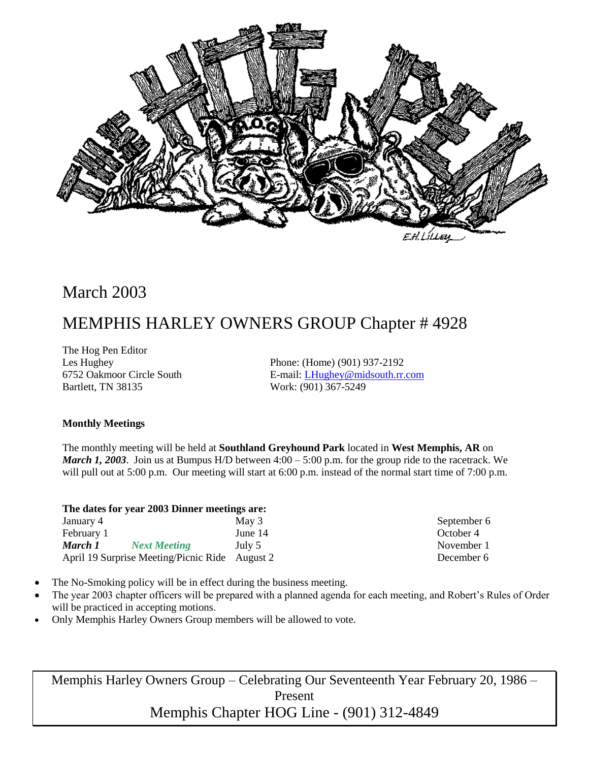

# March 2003

# MEMPHIS HARLEY OWNERS GROUP Chapter # 4928

The Hog Pen Editor Bartlett, TN 38135 Work: (901) 367-5249

Les Hughey Phone: (Home) (901) 937-2192 6752 Oakmoor Circle South E-mail: [LHughey@midsouth.rr.com](mailto:LHughey@midsouth.rr.com)

#### **Monthly Meetings**

The monthly meeting will be held at **Southland Greyhound Park** located in **West Memphis, AR** on *March 1, 2003*. Join us at Bumpus H/D between 4:00 – 5:00 p.m. for the group ride to the racetrack. We will pull out at 5:00 p.m. Our meeting will start at 6:00 p.m. instead of the normal start time of 7:00 p.m.

| The dates for year 2003 Dinner meetings are: |       |
|----------------------------------------------|-------|
| January 4                                    | May 3 |

| February 1 |                                                | June 14 |
|------------|------------------------------------------------|---------|
| March 1    | <b>Next Meeting</b>                            | July 5  |
|            | April 19 Surprise Meeting/Picnic Ride August 2 |         |

September 6 October 4 November 1 December 6

- The No-Smoking policy will be in effect during the business meeting.
- The year 2003 chapter officers will be prepared with a planned agenda for each meeting, and Robert's Rules of Order will be practiced in accepting motions.
- Only Memphis Harley Owners Group members will be allowed to vote.

Memphis Harley Owners Group – Celebrating Our Seventeenth Year February 20, 1986 – Present Memphis Chapter HOG Line - (901) 312-4849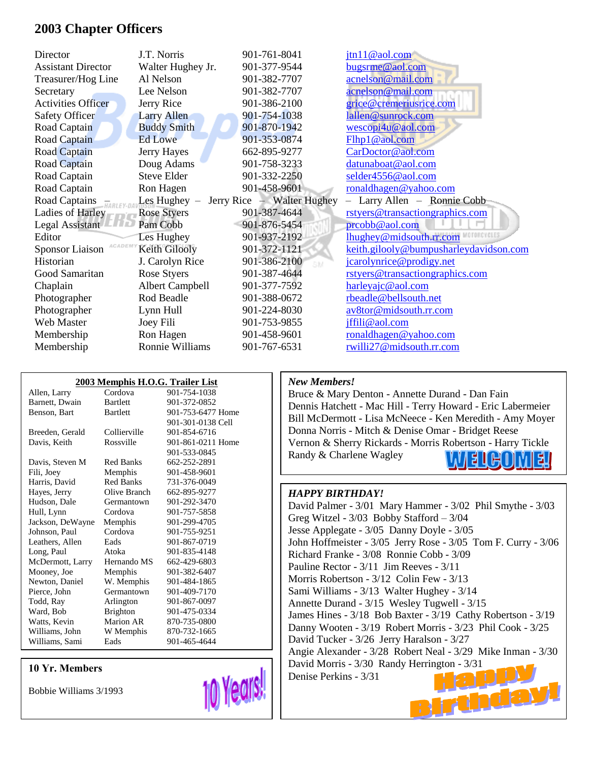### **2003 Chapter Officers**

| Director                         | J.T. Norris            | 901-761-8041               | jtn11@aol.com                          |
|----------------------------------|------------------------|----------------------------|----------------------------------------|
| <b>Assistant Director</b>        | Walter Hughey Jr.      | 901-377-9544               | bugsrme@aol.com                        |
| Treasurer/Hog Line               | Al Nelson              | 901-382-7707               | acnelson@mail.com                      |
| Secretary                        | Lee Nelson             | 901-382-7707               | acnelson@mail.com                      |
| <b>Activities Officer</b>        | Jerry Rice             | 901-386-2100               | grice@cremeriusrice.com                |
| Safety Officer                   | <b>Larry Allen</b>     | 901-754-1038               | lallen@sunrock.com                     |
| Road Captain                     | <b>Buddy Smith</b>     | 901-870-1942               | wescopi4u@aol.com                      |
| Road Captain                     | <b>Ed Lowe</b>         | 901-353-0874               | Flhp1@aol.com                          |
| Road Captain                     | Jerry Hayes            | 662-895-9277               | CarDoctor@aol.com                      |
| Road Captain                     | Doug Adams             | 901-758-3233               | datunaboat@aol.com                     |
| Road Captain                     | Steve Elder            | 901-332-2250               | selder4556@aol.com                     |
| Road Captain                     | Ron Hagen              | 901-458-9601               | ronaldhagen@yahoo.com                  |
| Road Captains                    | Les Hughey $-$         | Jerry Rice – Walter Hughey | - Larry Allen - Ronnie Cobb            |
| Ladies of Harley                 | <b>Rose Styers</b>     | 901-387-4644               | rstyers@transactiongraphics.com        |
| Legal Assistant                  | Pam Cobb               | 901-876-5454               | prcobb@aol.com                         |
| Editor                           | Les Hughey             | 901-937-2192               | lhughey@midsouth.rr.com                |
| ACADEM<br><b>Sponsor Liaison</b> | Keith Gilooly          | 901-372-1121               | keith.gilooly@bumpusharleydavidson.com |
| Historian                        | J. Carolyn Rice        | 901-386-2100               | jcarolynrice@prodigy.net               |
| Good Samaritan                   | Rose Styers            | 901-387-4644               | rstyers@transactiongraphics.com        |
| Chaplain                         | <b>Albert Campbell</b> | 901-377-7592               | harleyajc@aol.com                      |
| Photographer                     | Rod Beadle             | 901-388-0672               | rbeadle@bellsouth.net                  |
| Photographer                     | Lynn Hull              | 901-224-8030               | av8tor@midsouth.rr.com                 |
| Web Master                       | Joey Fili              | 901-753-9855               | jffili@aol.com                         |
| Membership                       | Ron Hagen              | 901-458-9601               | ronaldhagen@yahoo.com                  |
| Membership                       | Ronnie Williams        | 901-767-6531               | rwilli27@midsouth.rr.com               |

| 2003 Memphis H.O.G. Trailer List |                  |                   |  |  |  |
|----------------------------------|------------------|-------------------|--|--|--|
| Allen, Larry                     | Cordova          | 901-754-1038      |  |  |  |
| Barnett, Dwain                   | <b>Bartlett</b>  | 901-372-0852      |  |  |  |
| Benson, Bart                     | <b>Bartlett</b>  | 901-753-6477 Home |  |  |  |
|                                  |                  | 901-301-0138 Cell |  |  |  |
| Breeden, Gerald                  | Collierville     | 901-854-6716      |  |  |  |
| Davis, Keith                     | Rossville        | 901-861-0211 Home |  |  |  |
|                                  |                  | 901-533-0845      |  |  |  |
| Davis, Steven M                  | Red Banks        | 662-252-2891      |  |  |  |
| Fili, Joey                       | Memphis          | 901-458-9601      |  |  |  |
| Harris, David                    | <b>Red Banks</b> | 731-376-0049      |  |  |  |
| Hayes, Jerry                     | Olive Branch     | 662-895-9277      |  |  |  |
| Hudson, Dale                     | Germantown       | 901-292-3470      |  |  |  |
| Hull, Lynn                       | Cordova          | 901-757-5858      |  |  |  |
| Jackson, DeWayne                 | Memphis          | 901-299-4705      |  |  |  |
| Johnson, Paul                    | Cordova          | 901-755-9251      |  |  |  |
| Leathers, Allen                  | Eads             | 901-867-0719      |  |  |  |
| Long, Paul                       | Atoka            | 901-835-4148      |  |  |  |
| McDermott, Larry                 | Hernando MS      | 662-429-6803      |  |  |  |
| Mooney, Joe                      | Memphis          | 901-382-6407      |  |  |  |
| Newton, Daniel                   | W. Memphis       | 901-484-1865      |  |  |  |
| Pierce, John                     | Germantown       | 901-409-7170      |  |  |  |
| Todd, Ray                        | Arlington        | 901-867-0097      |  |  |  |
| Ward, Bob                        | <b>Brighton</b>  | 901-475-0334      |  |  |  |
| Watts, Kevin                     | <b>Marion AR</b> | 870-735-0800      |  |  |  |
| Williams, John                   | W Memphis        | 870-732-1665      |  |  |  |
| Williams, Sami                   | Eads             | 901-465-4644      |  |  |  |
|                                  |                  |                   |  |  |  |

#### **10 Yr. Members**

Bobbie Williams 3/1993



#### *New Members!*

Bruce & Mary Denton - Annette Durand - Dan Fain Dennis Hatchett - Mac Hill - Terry Howard - Eric Labermeier Bill McDermott - Lisa McNeece - Ken Meredith - Amy Moyer Donna Norris - Mitch & Denise Omar - Bridget Reese Vernon & Sherry Rickards - Morris Robertson - Harry Tickle Randy & Charlene Wagley E 11 E II

#### *HAPPY BIRTHDAY!*

David Palmer - 3/01 Mary Hammer - 3/02 Phil Smythe - 3/03 Greg Witzel - 3/03 Bobby Stafford – 3/04 Jesse Applegate - 3/05 Danny Doyle - 3/05 John Hoffmeister - 3/05 Jerry Rose - 3/05 Tom F. Curry - 3/06 Richard Franke - 3/08 Ronnie Cobb - 3/09 Pauline Rector - 3/11 Jim Reeves - 3/11 Morris Robertson - 3/12 Colin Few - 3/13 Sami Williams - 3/13 Walter Hughey - 3/14 Annette Durand - 3/15 Wesley Tugwell - 3/15 James Hines - 3/18 Bob Baxter - 3/19 Cathy Robertson - 3/19 Danny Wooten - 3/19 Robert Morris - 3/23 Phil Cook - 3/25 David Tucker - 3/26 Jerry Haralson - 3/27 Angie Alexander - 3/28 Robert Neal - 3/29 Mike Inman - 3/30 David Morris - 3/30 Randy Herrington - 3/31 Denise Perkins - 3/31 Birthday!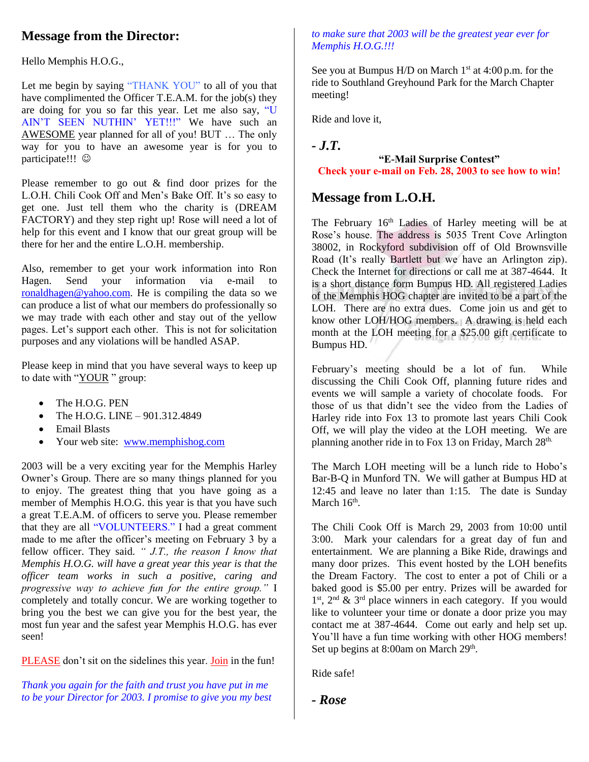## **Message from the Director:**

Hello Memphis H.O.G.,

Let me begin by saying "THANK YOU" to all of you that have complimented the Officer T.E.A.M. for the job(s) they are doing for you so far this year. Let me also say, "U AIN'T SEEN NUTHIN' YET!!!" We have such an AWESOME year planned for all of you! BUT … The only way for you to have an awesome year is for you to participate!!! ©

Please remember to go out & find door prizes for the L.O.H. Chili Cook Off and Men's Bake Off. It's so easy to get one. Just tell them who the charity is (DREAM FACTORY) and they step right up! Rose will need a lot of help for this event and I know that our great group will be there for her and the entire L.O.H. membership.

Also, remember to get your work information into Ron Hagen. Send your information via e-mail to [ronaldhagen@yahoo.com.](mailto:ronaldhagen@yahoo.com) He is compiling the data so we can produce a list of what our members do professionally so we may trade with each other and stay out of the yellow pages. Let's support each other. This is not for solicitation purposes and any violations will be handled ASAP.

Please keep in mind that you have several ways to keep up to date with "YOUR " group:

- The H.O.G. PEN
- The H.O.G. LINE 901.312.4849
- Email Blasts
- Your web site: [www.memphishog.com](http://www.memphishog.com/)

2003 will be a very exciting year for the Memphis Harley Owner's Group. There are so many things planned for you to enjoy. The greatest thing that you have going as a member of Memphis H.O.G. this year is that you have such a great T.E.A.M. of officers to serve you. Please remember that they are all "VOLUNTEERS." I had a great comment made to me after the officer's meeting on February 3 by a fellow officer. They said. *" J.T., the reason I know that Memphis H.O.G. will have a great year this year is that the officer team works in such a positive, caring and progressive way to achieve fun for the entire group."* I completely and totally concur. We are working together to bring you the best we can give you for the best year, the most fun year and the safest year Memphis H.O.G. has ever seen!

PLEASE don't sit on the sidelines this year. Join in the fun!

*Thank you again for the faith and trust you have put in me to be your Director for 2003. I promise to give you my best* 

#### *to make sure that 2003 will be the greatest year ever for Memphis H.O.G.!!!*

See you at Bumpus H/D on March  $1<sup>st</sup>$  at 4:00 p.m. for the ride to Southland Greyhound Park for the March Chapter meeting!

Ride and love it,

*- J.T.* 

#### **"E-Mail Surprise Contest" Check your e-mail on Feb. 28, 2003 to see how to win!**

### **Message from L.O.H.**

The February 16<sup>th</sup> Ladies of Harley meeting will be at Rose's house. The address is 5035 Trent Cove Arlington 38002, in Rockyford subdivision off of Old Brownsville Road (It's really Bartlett but we have an Arlington zip). Check the Internet for directions or call me at 387-4644. It is a short distance form Bumpus HD. All registered Ladies of the Memphis HOG chapter are invited to be a part of the LOH. There are no extra dues. Come join us and get to know other LOH/HOG members. A drawing is held each month at the LOH meeting for a \$25.00 gift certificate to Bumpus HD.

February's meeting should be a lot of fun. While discussing the Chili Cook Off, planning future rides and events we will sample a variety of chocolate foods. For those of us that didn't see the video from the Ladies of Harley ride into Fox 13 to promote last years Chili Cook Off, we will play the video at the LOH meeting. We are planning another ride in to Fox 13 on Friday, March 28<sup>th.</sup>

The March LOH meeting will be a lunch ride to Hobo's Bar-B-Q in Munford TN. We will gather at Bumpus HD at 12:45 and leave no later than 1:15. The date is Sunday March  $16<sup>th</sup>$ .

The Chili Cook Off is March 29, 2003 from 10:00 until 3:00. Mark your calendars for a great day of fun and entertainment. We are planning a Bike Ride, drawings and many door prizes. This event hosted by the LOH benefits the Dream Factory. The cost to enter a pot of Chili or a baked good is \$5.00 per entry. Prizes will be awarded for 1<sup>st</sup>, 2<sup>nd</sup> & 3<sup>rd</sup> place winners in each category. If you would like to volunteer your time or donate a door prize you may contact me at 387-4644. Come out early and help set up. You'll have a fun time working with other HOG members! Set up begins at 8:00am on March 29<sup>th</sup>.

Ride safe!

*- Rose*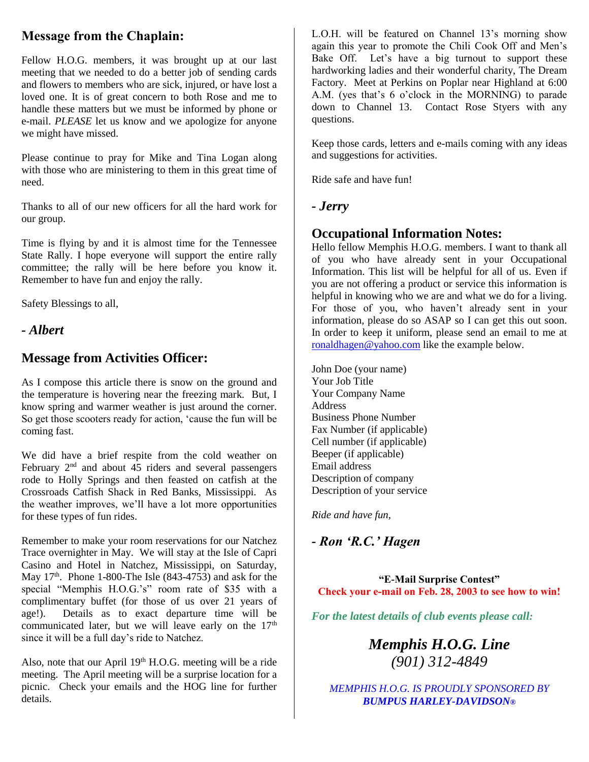## **Message from the Chaplain:**

Fellow H.O.G. members, it was brought up at our last meeting that we needed to do a better job of sending cards and flowers to members who are sick, injured, or have lost a loved one. It is of great concern to both Rose and me to handle these matters but we must be informed by phone or e-mail. *PLEASE* let us know and we apologize for anyone we might have missed.

Please continue to pray for Mike and Tina Logan along with those who are ministering to them in this great time of need.

Thanks to all of our new officers for all the hard work for our group.

Time is flying by and it is almost time for the Tennessee State Rally. I hope everyone will support the entire rally committee; the rally will be here before you know it. Remember to have fun and enjoy the rally.

Safety Blessings to all,

*- Albert*

### **Message from Activities Officer:**

As I compose this article there is snow on the ground and the temperature is hovering near the freezing mark. But, I know spring and warmer weather is just around the corner. So get those scooters ready for action, 'cause the fun will be coming fast.

We did have a brief respite from the cold weather on February  $2<sup>nd</sup>$  and about  $45$  riders and several passengers rode to Holly Springs and then feasted on catfish at the Crossroads Catfish Shack in Red Banks, Mississippi. As the weather improves, we'll have a lot more opportunities for these types of fun rides.

Remember to make your room reservations for our Natchez Trace overnighter in May. We will stay at the Isle of Capri Casino and Hotel in Natchez, Mississippi, on Saturday, May  $17<sup>th</sup>$ . Phone 1-800-The Isle (843-4753) and ask for the special "Memphis H.O.G.'s" room rate of \$35 with a complimentary buffet (for those of us over 21 years of age!). Details as to exact departure time will be communicated later, but we will leave early on the  $17<sup>th</sup>$ since it will be a full day's ride to Natchez.

Also, note that our April 19<sup>th</sup> H.O.G. meeting will be a ride meeting. The April meeting will be a surprise location for a picnic. Check your emails and the HOG line for further details.

L.O.H. will be featured on Channel 13's morning show again this year to promote the Chili Cook Off and Men's Bake Off. Let's have a big turnout to support these hardworking ladies and their wonderful charity, The Dream Factory. Meet at Perkins on Poplar near Highland at 6:00 A.M. (yes that's 6 o'clock in the MORNING) to parade down to Channel 13. Contact Rose Styers with any questions.

Keep those cards, letters and e-mails coming with any ideas and suggestions for activities.

Ride safe and have fun!

#### *- Jerry*

### **Occupational Information Notes:**

Hello fellow Memphis H.O.G. members. I want to thank all of you who have already sent in your Occupational Information. This list will be helpful for all of us. Even if you are not offering a product or service this information is helpful in knowing who we are and what we do for a living. For those of you, who haven't already sent in your information, please do so ASAP so I can get this out soon. In order to keep it uniform, please send an email to me at [ronaldhagen@yahoo.com](http://us.f138.mail.yahoo.com/ym/Compose?To=ronaldhagen@yahoo.com&YY=55869&order=down&sort=date&pos=1&view=a&head=b) like the example below.

John Doe (your name) Your Job Title Your Company Name Address Business Phone Number Fax Number (if applicable) Cell number (if applicable) Beeper (if applicable) Email address Description of company Description of your service

*Ride and have fun,*

*- Ron 'R.C.' Hagen*

**"E-Mail Surprise Contest" Check your e-mail on Feb. 28, 2003 to see how to win!**

*For the latest details of club events please call:*

*Memphis H.O.G. Line (901) 312-4849*

*MEMPHIS H.O.G. IS PROUDLY SPONSORED BY BUMPUS HARLEY-DAVIDSON®*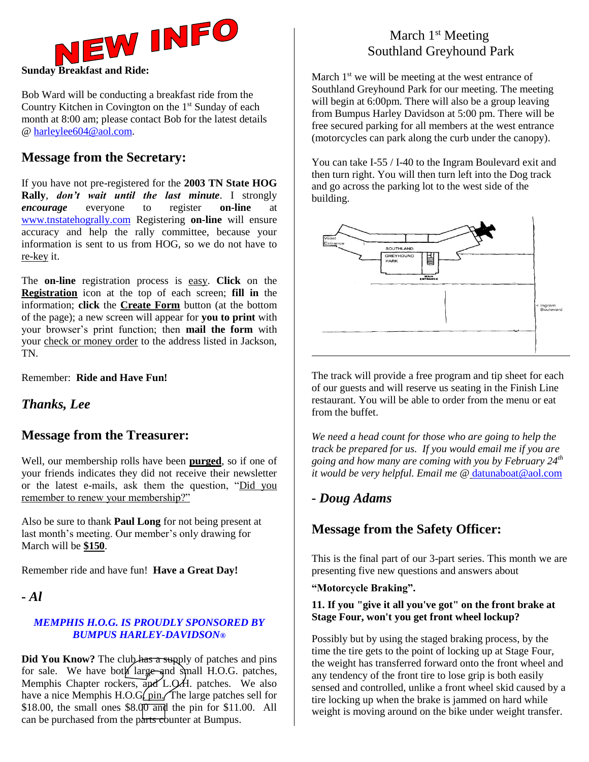

Bob Ward will be conducting a breakfast ride from the Country Kitchen in Covington on the  $1<sup>st</sup>$  Sunday of each month at 8:00 am; please contact Bob for the latest details @ [harleylee604@aol.com.](mailto:harleylee604@aol.com)

### **Message from the Secretary:**

If you have not pre-registered for the **2003 TN State HOG Rally**, *don't wait until the last minute*. I strongly *encourage* everyone to register **on-line** at [www.tnstatehogrally.com](http://www.tnstatehogrally.com/) Registering **on-line** will ensure accuracy and help the rally committee, because your information is sent to us from HOG, so we do not have to re-key it.

The **on-line** registration process is easy. **Click** on the **Registration** icon at the top of each screen; **fill in** the information; **click** the **Create Form** button (at the bottom of the page); a new screen will appear for **you to print** with your browser's print function; then **mail the form** with your check or money order to the address listed in Jackson, TN.

Remember: **Ride and Have Fun!**

### *Thanks, Lee*

### **Message from the Treasurer:**

Well, our membership rolls have been **purged**, so if one of your friends indicates they did not receive their newsletter or the latest e-mails, ask them the question, "Did you remember to renew your membership?"

Also be sure to thank **Paul Long** for not being present at last month's meeting. Our member's only drawing for March will be **\$150**.

Remember ride and have fun! **Have a Great Day!**

*- Al*

#### *MEMPHIS H.O.G. IS PROUDLY SPONSORED BY BUMPUS HARLEY-DAVIDSON®*

**Did You Know?** The club has a supply of patches and pins for sale. We have both large and small H.O.G. patches, Memphis Chapter rockers, and L.Q.H. patches. We also have a nice Memphis H.O.G $\int$  pin. The large patches sell for \$18.00, the small ones  $$8.00$  and the pin for \$11.00. All can be purchased from the parts counter at Bumpus.

### March  $1<sup>st</sup>$  Meeting Southland Greyhound Park

March  $1<sup>st</sup>$  we will be meeting at the west entrance of Southland Greyhound Park for our meeting. The meeting will begin at 6:00pm. There will also be a group leaving from Bumpus Harley Davidson at 5:00 pm. There will be free secured parking for all members at the west entrance (motorcycles can park along the curb under the canopy).

You can take I-55 / I-40 to the Ingram Boulevard exit and then turn right. You will then turn left into the Dog track and go across the parking lot to the west side of the building.



The track will provide a free program and tip sheet for each of our guests and will reserve us seating in the Finish Line restaurant. You will be able to order from the menu or eat from the buffet.

*We need a head count for those who are going to help the track be prepared for us. If you would email me if you are going and how many are coming with you by February 24th it would be very helpful. Email me @* [datunaboat@aol.com](mailto:datunaboat@aol.com)

### *- Doug Adams*

### **Message from the Safety Officer:**

This is the final part of our 3-part series. This month we are presenting five new questions and answers about

#### **"Motorcycle Braking".**

#### **11. If you "give it all you've got" on the front brake at Stage Four, won't you get front wheel lockup?**

Possibly but by using the staged braking process, by the time the tire gets to the point of locking up at Stage Four, the weight has transferred forward onto the front wheel and any tendency of the front tire to lose grip is both easily sensed and controlled, unlike a front wheel skid caused by a tire locking up when the brake is jammed on hard while weight is moving around on the bike under weight transfer.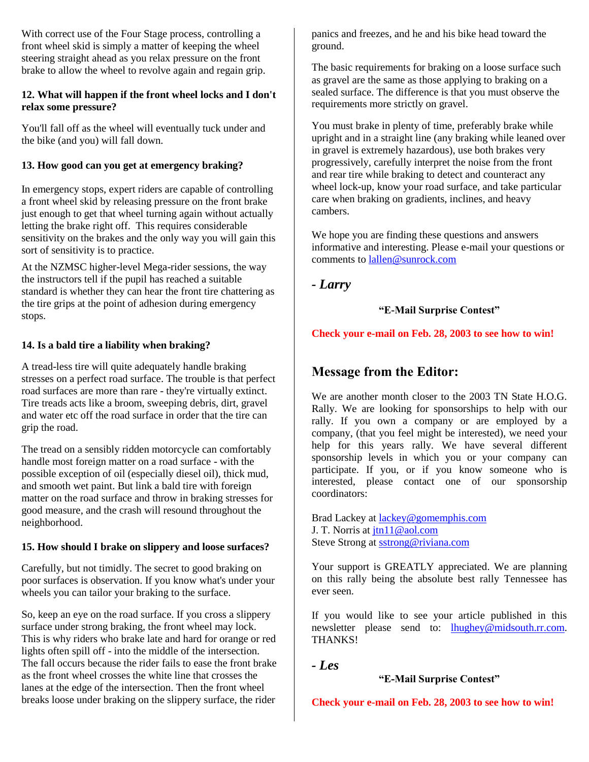With correct use of the Four Stage process, controlling a front wheel skid is simply a matter of keeping the wheel steering straight ahead as you relax pressure on the front brake to allow the wheel to revolve again and regain grip.

#### **12. What will happen if the front wheel locks and I don't relax some pressure?**

You'll fall off as the wheel will eventually tuck under and the bike (and you) will fall down.

#### **13. How good can you get at emergency braking?**

In emergency stops, expert riders are capable of controlling a front wheel skid by releasing pressure on the front brake just enough to get that wheel turning again without actually letting the brake right off. This requires considerable sensitivity on the brakes and the only way you will gain this sort of sensitivity is to practice.

At the NZMSC higher-level Mega-rider sessions, the way the instructors tell if the pupil has reached a suitable standard is whether they can hear the front tire chattering as the tire grips at the point of adhesion during emergency stops.

#### **14. Is a bald tire a liability when braking?**

A tread-less tire will quite adequately handle braking stresses on a perfect road surface. The trouble is that perfect road surfaces are more than rare - they're virtually extinct. Tire treads acts like a broom, sweeping debris, dirt, gravel and water etc off the road surface in order that the tire can grip the road.

The tread on a sensibly ridden motorcycle can comfortably handle most foreign matter on a road surface - with the possible exception of oil (especially diesel oil), thick mud, and smooth wet paint. But link a bald tire with foreign matter on the road surface and throw in braking stresses for good measure, and the crash will resound throughout the neighborhood.

#### **15. How should I brake on slippery and loose surfaces?**

Carefully, but not timidly. The secret to good braking on poor surfaces is observation. If you know what's under your wheels you can tailor your braking to the surface.

So, keep an eye on the road surface. If you cross a slippery surface under strong braking, the front wheel may lock. This is why riders who brake late and hard for orange or red lights often spill off - into the middle of the intersection. The fall occurs because the rider fails to ease the front brake as the front wheel crosses the white line that crosses the lanes at the edge of the intersection. Then the front wheel breaks loose under braking on the slippery surface, the rider

panics and freezes, and he and his bike head toward the ground.

The basic requirements for braking on a loose surface such as gravel are the same as those applying to braking on a sealed surface. The difference is that you must observe the requirements more strictly on gravel.

You must brake in plenty of time, preferably brake while upright and in a straight line (any braking while leaned over in gravel is extremely hazardous), use both brakes very progressively, carefully interpret the noise from the front and rear tire while braking to detect and counteract any wheel lock-up, know your road surface, and take particular care when braking on gradients, inclines, and heavy cambers.

We hope you are finding these questions and answers informative and interesting. Please e-mail your questions or comments to [lallen@sunrock.com](mailto:lallen@sunrock.com)

*- Larry*

#### **"E-Mail Surprise Contest"**

#### **Check your e-mail on Feb. 28, 2003 to see how to win!**

### **Message from the Editor:**

We are another month closer to the 2003 TN State H.O.G. Rally. We are looking for sponsorships to help with our rally. If you own a company or are employed by a company, (that you feel might be interested), we need your help for this years rally. We have several different sponsorship levels in which you or your company can participate. If you, or if you know someone who is interested, please contact one of our sponsorship coordinators:

Brad Lackey at [lackey@gomemphis.com](mailto:lackey@gomemphis.com) J. T. Norris at [jtn11@aol.com](mailto:jtn11@aol.com) Steve Strong at [sstrong@riviana.com](mailto:sstrong@riviana.com)

Your support is GREATLY appreciated. We are planning on this rally being the absolute best rally Tennessee has ever seen.

If you would like to see your article published in this newsletter please send to: **lhughey@midsouth.rr.com**. THANKS!

*- Les*

#### **"E-Mail Surprise Contest"**

**Check your e-mail on Feb. 28, 2003 to see how to win!**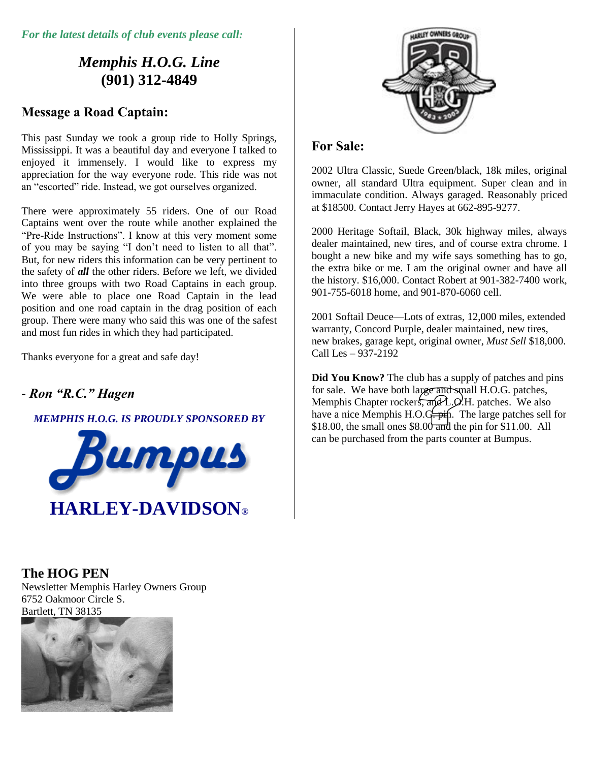*For the latest details of club events please call:*

# *Memphis H.O.G. Line* **(901) 312-4849**

### **Message a Road Captain:**

This past Sunday we took a group ride to Holly Springs, Mississippi. It was a beautiful day and everyone I talked to enjoyed it immensely. I would like to express my appreciation for the way everyone rode. This ride was not an "escorted" ride. Instead, we got ourselves organized.

There were approximately 55 riders. One of our Road Captains went over the route while another explained the "Pre-Ride Instructions". I know at this very moment some of you may be saying "I don't need to listen to all that". But, for new riders this information can be very pertinent to the safety of *all* the other riders. Before we left, we divided into three groups with two Road Captains in each group. We were able to place one Road Captain in the lead position and one road captain in the drag position of each group. There were many who said this was one of the safest and most fun rides in which they had participated.

Thanks everyone for a great and safe day!

# *- Ron "R.C." Hagen*

### *MEMPHIS H.O.G. IS PROUDLY SPONSORED BY*





### **For Sale:**

2002 Ultra Classic, Suede Green/black, 18k miles, original owner, all standard Ultra equipment. Super clean and in immaculate condition. Always garaged. Reasonably priced at \$18500. Contact Jerry Hayes at 662-895-9277.

2000 Heritage Softail, Black, 30k highway miles, always dealer maintained, new tires, and of course extra chrome. I bought a new bike and my wife says something has to go, the extra bike or me. I am the original owner and have all the history. \$16,000. Contact Robert at 901-382-7400 work, 901-755-6018 home, and 901-870-6060 cell.

2001 Softail Deuce—Lots of extras, 12,000 miles, extended warranty, Concord Purple, dealer maintained, new tires, new brakes, garage kept, original owner, *Must Sell* \$18,000. Call Les – 937-2192

**Did You Know?** The club has a supply of patches and pins for sale. We have both large and small H.O.G. patches, Memphis Chapter rockers,  $\overline{and}$  L.O.H. patches. We also have a nice Memphis H.O.G.  $\frac{1}{x}$ . The large patches sell for \$18.00, the small ones  $$8.00$  and the pin for \$11.00. All can be purchased from the parts counter at Bumpus.

### **The HOG PEN**

Newsletter Memphis Harley Owners Group 6752 Oakmoor Circle S. Bartlett, TN 38135

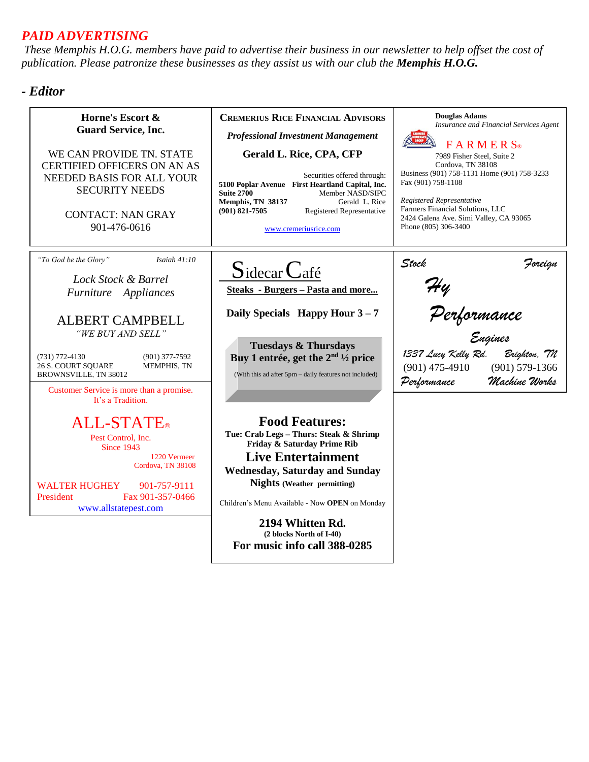### *PAID ADVERTISING*

*These Memphis H.O.G. members have paid to advertise their business in our newsletter to help offset the cost of publication. Please patronize these businesses as they assist us with our club the Memphis H.O.G.*

### *- Editor*

| Horne's Escort &<br><b>Guard Service, Inc.</b><br>WE CAN PROVIDE TN. STATE<br><b>CERTIFIED OFFICERS ON AN AS</b><br>NEEDED BASIS FOR ALL YOUR<br><b>SECURITY NEEDS</b><br><b>CONTACT: NAN GRAY</b><br>901-476-0616                                                                                                                                                                                     | <b>CREMERIUS RICE FINANCIAL ADVISORS</b><br><b>Professional Investment Management</b><br><b>Gerald L. Rice, CPA, CFP</b><br>Securities offered through:<br>5100 Poplar Avenue First Heartland Capital, Inc.<br><b>Suite 2700</b><br>Member NASD/SIPC<br>Gerald L. Rice<br>Memphis, TN 38137<br>$(901)$ 821-7505<br>Registered Representative<br>www.cremeriusrice.com  | <b>Douglas Adams</b><br>Insurance and Financial Services Agent<br>$F$ A R M E R $S$ <sup>®</sup><br>7989 Fisher Steel, Suite 2<br>Cordova, TN 38108<br>Business (901) 758-1131 Home (901) 758-3233<br>Fax (901) 758-1108<br>Registered Representative<br>Farmers Financial Solutions, LLC<br>2424 Galena Ave. Simi Valley, CA 93065<br>Phone (805) 306-3400 |
|--------------------------------------------------------------------------------------------------------------------------------------------------------------------------------------------------------------------------------------------------------------------------------------------------------------------------------------------------------------------------------------------------------|------------------------------------------------------------------------------------------------------------------------------------------------------------------------------------------------------------------------------------------------------------------------------------------------------------------------------------------------------------------------|-------------------------------------------------------------------------------------------------------------------------------------------------------------------------------------------------------------------------------------------------------------------------------------------------------------------------------------------------------------|
| "To God be the Glory"<br>Isaiah $41:10$<br>Lock Stock & Barrel<br>Furniture Appliances<br><b>ALBERT CAMPBELL</b><br>"WE BUY AND SELL"<br>$(731) 772 - 4130$<br>$(901)$ 377-7592<br><b>26 S. COURT SQUARE</b><br>MEMPHIS, TN<br><b>BROWNSVILLE, TN 38012</b><br>Customer Service is more than a promise.<br>It's a Tradition.<br><b>ALL-STATE</b> ®<br>Pest Control, Inc.<br>Since 1943<br>1220 Vermeer | $S$ idecar $C$ afé<br><b>Steaks</b> - Burgers - Pasta and more<br>Daily Specials Happy Hour $3-7$<br><b>Tuesdays &amp; Thursdays</b><br>Buy 1 entrée, get the $2nd 1/2$ price<br>(With this ad after 5pm - daily features not included)<br><b>Food Features:</b><br>Tue: Crab Legs - Thurs: Steak & Shrimp<br>Friday & Saturday Prime Rib<br><b>Live Entertainment</b> | Stock<br>Foreign<br>Hy<br>Performance<br><sub>Engines</sub><br>1337 Lucy Kelly Rd.<br>Brighton, 7N<br>$(901) 579 - 1366$<br>$(901)$ 475-4910<br>Machine Works<br>Performance                                                                                                                                                                                |
| Cordova, TN 38108<br><b>WALTER HUGHEY</b><br>901-757-9111<br>President<br>Fax 901-357-0466<br>www.allstatepest.com                                                                                                                                                                                                                                                                                     | <b>Wednesday, Saturday and Sunday</b><br><b>Nights</b> (Weather permitting)<br>Children's Menu Available - Now OPEN on Monday<br>2194 Whitten Rd.<br>(2 blocks North of I-40)<br>For music info call 388-0285                                                                                                                                                          |                                                                                                                                                                                                                                                                                                                                                             |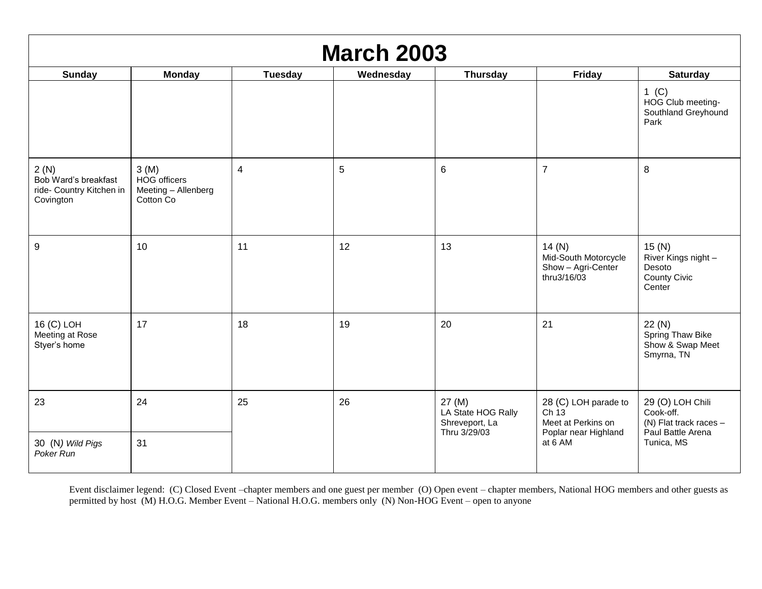| <b>March 2003</b>                                                     |                                                          |         |           |                                                                |                                                                            |                                                                                |
|-----------------------------------------------------------------------|----------------------------------------------------------|---------|-----------|----------------------------------------------------------------|----------------------------------------------------------------------------|--------------------------------------------------------------------------------|
| <b>Sunday</b>                                                         | <b>Monday</b>                                            | Tuesday | Wednesday | <b>Thursday</b>                                                | <b>Friday</b>                                                              | <b>Saturday</b>                                                                |
|                                                                       |                                                          |         |           |                                                                |                                                                            | 1 (C)<br>HOG Club meeting-<br>Southland Greyhound<br>Park                      |
| 2(N)<br>Bob Ward's breakfast<br>ride- Country Kitchen in<br>Covington | 3(M)<br>HOG officers<br>Meeting - Allenberg<br>Cotton Co | 4       | 5         | $\,6$                                                          | $\overline{7}$                                                             | 8                                                                              |
| 9                                                                     | 10                                                       | 11      | 12        | 13                                                             | 14(N)<br>Mid-South Motorcycle<br>Show - Agri-Center<br>thru3/16/03         | 15(N)<br>River Kings night -<br>Desoto<br><b>County Civic</b><br>Center        |
| 16 (C) LOH<br>Meeting at Rose<br>Styer's home                         | 17                                                       | 18      | 19        | 20                                                             | 21                                                                         | 22(N)<br>Spring Thaw Bike<br>Show & Swap Meet<br>Smyrna, TN                    |
| 23                                                                    | 24                                                       | 25      | 26        | 27 (M)<br>LA State HOG Rally<br>Shreveport, La<br>Thru 3/29/03 | 28 (C) LOH parade to<br>Ch13<br>Meet at Perkins on<br>Poplar near Highland | 29 (O) LOH Chili<br>Cook-off.<br>(N) Flat track races $-$<br>Paul Battle Arena |
| 30 (N) Wild Pigs<br>Poker Run                                         | 31                                                       |         |           |                                                                | at 6 AM                                                                    | Tunica, MS                                                                     |

Event disclaimer legend: (C) Closed Event –chapter members and one guest per member (O) Open event – chapter members, National HOG members and other guests as permitted by host (M) H.O.G. Member Event – National H.O.G. members only (N) Non-HOG Event – open to anyone